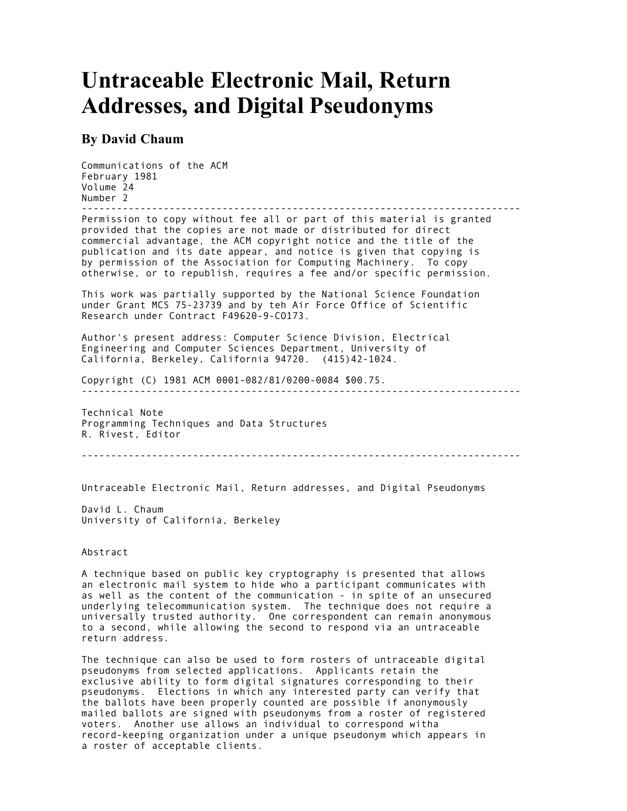# **Untraceable Electronic Mail, Return Addresses, and Digital Pseudonyms**

## **By David Chaum**

Communications of the ACM February 1981 Volume 24 Number 2

--------------------------------------------------------------------------- Permission to copy without fee all or part of this material is granted provided that the copies are not made or distributed for direct commercial advantage, the ACM copyright notice and the title of the publication and its date appear, and notice is given that copying is by permission of the Association for Computing Machinery. To copy otherwise, or to republish, requires a fee and/or specific permission.

This work was partially supported by the National Science Foundation under Grant MCS 75-23739 and by teh Air Force Office of Scientific Research under Contract F49620-9-CO173.

Author's present address: Computer Science Division, Electrical Engineering and Computer Sciences Department, University of California, Berkeley, California 94720. (415)42-1024.

Copyright (C) 1981 ACM 0001-082/81/0200-0084 \$00.75. ---------------------------------------------------------------------------

Technical Note Programming Techniques and Data Structures R. Rivest, Editor

---------------------------------------------------------------------------

Untraceable Electronic Mail, Return addresses, and Digital Pseudonyms

David L. Chaum University of California, Berkeley

Abstract

A technique based on public key cryptography is presented that allows an electronic mail system to hide who a participant communicates with as well as the content of the communication - in spite of an unsecured underlying telecommunication system. The technique does not require a universally trusted authority. One correspondent can remain anonymous to a second, while allowing the second to respond via an untraceable return address.

The technique can also be used to form rosters of untraceable digital pseudonyms from selected applications. Applicants retain the exclusive ability to form digital signatures corresponding to their pseudonyms. Elections in which any interested party can verify that the ballots have been properly counted are possible if anonymously mailed ballots are signed with pseudonyms from a roster of registered voters. Another use allows an individual to correspond witha record-keeping organization under a unique pseudonym which appears in a roster of acceptable clients.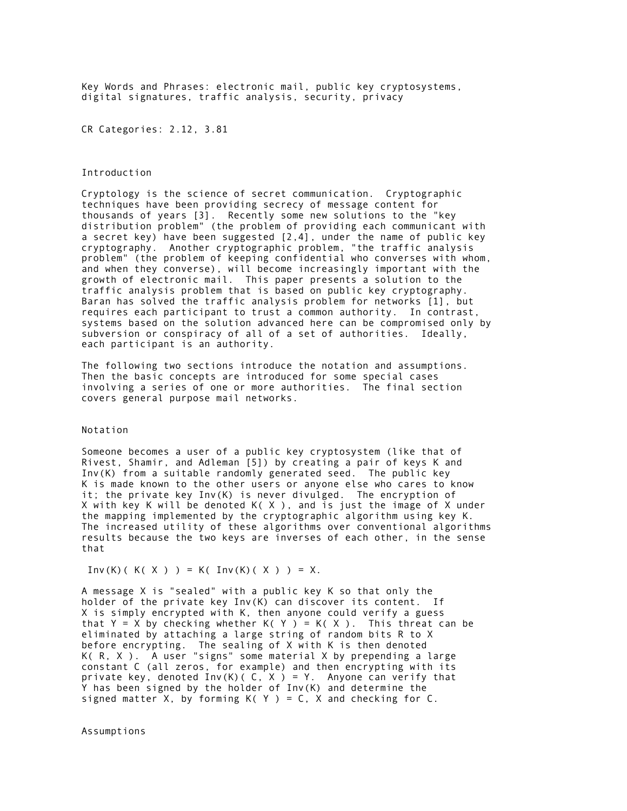Key Words and Phrases: electronic mail, public key cryptosystems, digital signatures, traffic analysis, security, privacy

CR Categories: 2.12, 3.81

#### Introduction

Cryptology is the science of secret communication. Cryptographic techniques have been providing secrecy of message content for thousands of years [3]. Recently some new solutions to the "key distribution problem" (the problem of providing each communicant with a secret key) have been suggested [2,4], under the name of public key cryptography. Another cryptographic problem, "the traffic analysis problem" (the problem of keeping confidential who converses with whom, and when they converse), will become increasingly important with the growth of electronic mail. This paper presents a solution to the traffic analysis problem that is based on public key cryptography. Baran has solved the traffic analysis problem for networks [1], but requires each participant to trust a common authority. In contrast, systems based on the solution advanced here can be compromised only by subversion or conspiracy of all of a set of authorities. Ideally, each participant is an authority.

The following two sections introduce the notation and assumptions. Then the basic concepts are introduced for some special cases involving a series of one or more authorities. The final section covers general purpose mail networks.

#### Notation

Someone becomes a user of a public key cryptosystem (like that of Rivest, Shamir, and Adleman [5]) by creating a pair of keys K and Inv(K) from a suitable randomly generated seed. The public key K is made known to the other users or anyone else who cares to know it; the private key Inv(K) is never divulged. The encryption of X with key K will be denoted K( X ), and is just the image of X under the mapping implemented by the cryptographic algorithm using key K. The increased utility of these algorithms over conventional algorithms results because the two keys are inverses of each other, in the sense that

 $Inv(K) ( K(X) ) = K( Inv(K) ( X ) ) = X.$ 

A message X is "sealed" with a public key K so that only the holder of the private key Inv(K) can discover its content. If X is simply encrypted with K, then anyone could verify a guess that  $Y = X$  by checking whether  $K(Y) = K(X)$ . This threat can be eliminated by attaching a large string of random bits R to X before encrypting. The sealing of X with K is then denoted  $K(R, X)$ . A user "signs" some material X by prepending a large constant C (all zeros, for example) and then encrypting with its private key, denoted  $Inv(K)$  ( C, X ) = Y. Anyone can verify that Y has been signed by the holder of Inv(K) and determine the signed matter X, by forming  $K(Y) = C$ , X and checking for C.

Assumptions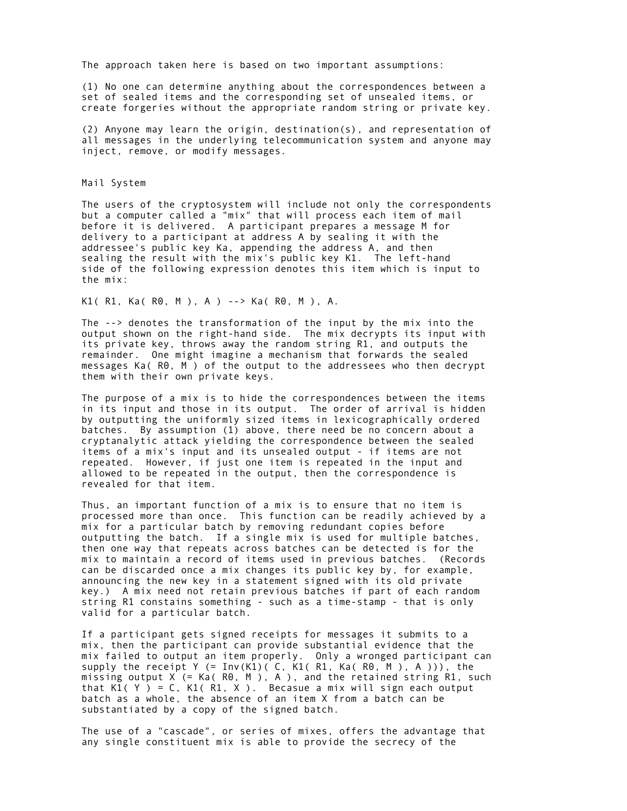The approach taken here is based on two important assumptions:

(1) No one can determine anything about the correspondences between a set of sealed items and the corresponding set of unsealed items, or create forgeries without the appropriate random string or private key.

(2) Anyone may learn the origin, destination(s), and representation of all messages in the underlying telecommunication system and anyone may inject, remove, or modify messages.

#### Mail System

The users of the cryptosystem will include not only the correspondents but a computer called a "mix" that will process each item of mail before it is delivered. A participant prepares a message M for delivery to a participant at address A by sealing it with the addressee's public key Ka, appending the address A, and then sealing the result with the mix's public key K1. The left-hand side of the following expression denotes this item which is input to the mix:

K1( R1, Ka( R0, M ), A ) --> Ka( R0, M ), A.

The --> denotes the transformation of the input by the mix into the output shown on the right-hand side. The mix decrypts its input with its private key, throws away the random string R1, and outputs the remainder. One might imagine a mechanism that forwards the sealed messages Ka( R0, M ) of the output to the addressees who then decrypt them with their own private keys.

The purpose of a mix is to hide the correspondences between the items in its input and those in its output. The order of arrival is hidden by outputting the uniformly sized items in lexicographically ordered batches. By assumption (1) above, there need be no concern about a cryptanalytic attack yielding the correspondence between the sealed items of a mix's input and its unsealed output - if items are not repeated. However, if just one item is repeated in the input and allowed to be repeated in the output, then the correspondence is revealed for that item.

Thus, an important function of a mix is to ensure that no item is processed more than once. This function can be readily achieved by a mix for a particular batch by removing redundant copies before outputting the batch. If a single mix is used for multiple batches, then one way that repeats across batches can be detected is for the mix to maintain a record of items used in previous batches. (Records can be discarded once a mix changes its public key by, for example, announcing the new key in a statement signed with its old private key.) A mix need not retain previous batches if part of each random string R1 constains something - such as a time-stamp - that is only valid for a particular batch.

If a participant gets signed receipts for messages it submits to a mix, then the participant can provide substantial evidence that the mix failed to output an item properly. Only a wronged participant can supply the receipt Y  $(= Inv(K1) (C, K1 (R1, Ka(R0, M), A)))$ , the missing output  $X$  (= Ka(R0, M), A), and the retained string R1, such that K1(  $Y$  ) = C, K1( R1, X ). Becasue a mix will sign each output batch as a whole, the absence of an item X from a batch can be substantiated by a copy of the signed batch.

The use of a "cascade", or series of mixes, offers the advantage that any single constituent mix is able to provide the secrecy of the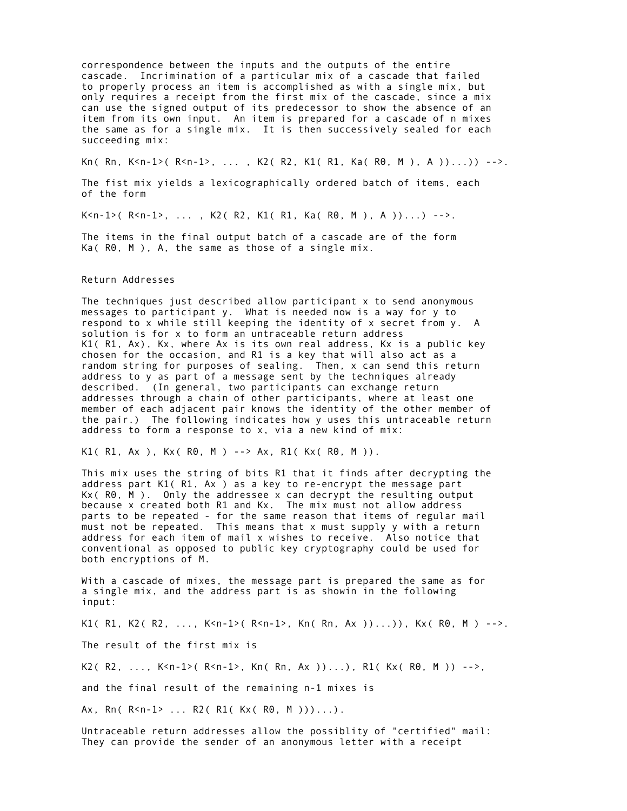correspondence between the inputs and the outputs of the entire cascade. Incrimination of a particular mix of a cascade that failed to properly process an item is accomplished as with a single mix, but only requires a receipt from the first mix of the cascade, since a mix can use the signed output of its predecessor to show the absence of an item from its own input. An item is prepared for a cascade of n mixes the same as for a single mix. It is then successively sealed for each succeeding mix:

Kn( Rn, K<n-1>( R<n-1>, ... , K2( R2, K1( R1, Ka( R0, M ), A ))...)) -->.

The fist mix yields a lexicographically ordered batch of items, each of the form

K<n-1>( R<n-1>, ... , K2( R2, K1( R1, Ka( R0, M ), A ))...) -->.

The items in the final output batch of a cascade are of the form Ka( R0, M ), A, the same as those of a single mix.

#### Return Addresses

The techniques just described allow participant x to send anonymous messages to participant y. What is needed now is a way for y to respond to x while still keeping the identity of x secret from y. A solution is for x to form an untraceable return address K1( R1, Ax), Kx, where Ax is its own real address, Kx is a public key chosen for the occasion, and R1 is a key that will also act as a random string for purposes of sealing. Then, x can send this return address to y as part of a message sent by the techniques already described. (In general, two participants can exchange return addresses through a chain of other participants, where at least one member of each adjacent pair knows the identity of the other member of the pair.) The following indicates how y uses this untraceable return address to form a response to x, via a new kind of mix:

K1( R1, Ax ), Kx( R0, M ) --> Ax, R1( Kx( R0, M )).

This mix uses the string of bits R1 that it finds after decrypting the address part K1( R1, Ax ) as a key to re-encrypt the message part Kx( R0, M ). Only the addressee x can decrypt the resulting output because x created both R1 and Kx. The mix must not allow address parts to be repeated - for the same reason that items of regular mail must not be repeated. This means that x must supply y with a return address for each item of mail x wishes to receive. Also notice that conventional as opposed to public key cryptography could be used for both encryptions of M.

With a cascade of mixes, the message part is prepared the same as for a single mix, and the address part is as showin in the following input:

K1( R1, K2( R2,  $\dots$ , K<n-1>( R<n-1>, Kn( Rn, Ax ))...)), Kx( R0, M ) -->.

The result of the first mix is

K2( R2, ..., K<n-1>( R<n-1>, Kn( Rn, Ax ))...), R1( Kx( R0, M )) -->,

and the final result of the remaining n-1 mixes is

Ax, Rn( R <n-1> ... R2( R1( Kx( R0, M )))...).

Untraceable return addresses allow the possiblity of "certified" mail: They can provide the sender of an anonymous letter with a receipt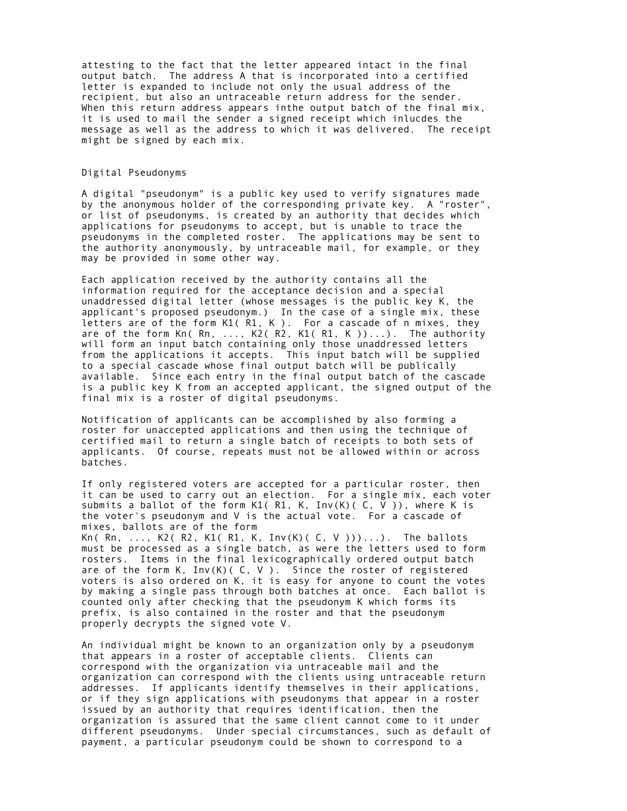attesting to the fact that the letter appeared intact in the final output batch. The address A that is incorporated into a certified letter is expanded to include not only the usual address of the recipient, but also an untraceable return address for the sender. When this return address appears inthe output batch of the final mix, it is used to mail the sender a signed receipt which inlucdes the message as well as the address to which it was delivered. The receipt might be signed by each mix.

### Digital Pseudonyms

A digital "pseudonym" is a public key used to verify signatures made by the anonymous holder of the corresponding private key. A "roster", or list of pseudonyms, is created by an authority that decides which applications for pseudonyms to accept, but is unable to trace the pseudonyms in the completed roster. The applications may be sent to the authority anonymously, by untraceable mail, for example, or they may be provided in some other way.

Each application received by the authority contains all the information required for the acceptance decision and a special unaddressed digital letter (whose messages is the public key K, the applicant's proposed pseudonym.) In the case of a single mix, these letters are of the form K1( R1, K ). For a cascade of n mixes, they are of the form  $Kn( Rn, \ldots, K2( R2, K1( R1, K)) \ldots )$ . The authority will form an input batch containing only those unaddressed letters from the applications it accepts. This input batch will be supplied to a special cascade whose final output batch will be publically available. Since each entry in the final output batch of the cascade is a public key K from an accepted applicant, the signed output of the final mix is a roster of digital pseudonyms.

Notification of applicants can be accomplished by also forming a roster for unaccepted applications and then using the technique of certified mail to return a single batch of receipts to both sets of applicants. Of course, repeats must not be allowed within or across batches.

If only registered voters are accepted for a particular roster, then it can be used to carry out an election. For a single mix, each voter submits a ballot of the form  $K1($  R1, K, Inv(K)( $C, V$ )), where K is the voter's pseudonym and V is the actual vote. For a cascade of mixes, ballots are of the form

Kn( Rn,  $\dots$ , K2( R2, K1( R1, K, Inv(K)( C, V )))...). The ballots must be processed as a single batch, as were the letters used to form rosters. Items in the final lexicographically ordered output batch are of the form K, Inv(K)( $C, V$ ). Since the roster of registered voters is also ordered on K, it is easy for anyone to count the votes by making a single pass through both batches at once. Each ballot is counted only after checking that the pseudonym K which forms its prefix, is also contained in the roster and that the pseudonym properly decrypts the signed vote V.

An individual might be known to an organization only by a pseudonym that appears in a roster of acceptable clients. Clients can correspond with the organization via untraceable mail and the organization can correspond with the clients using untraceable return addresses. If applicants identify themselves in their applications, or if they sign applications with pseudonyms that appear in a roster issued by an authority that requires identification, then the organization is assured that the same client cannot come to it under different pseudonyms. Under special circumstances, such as default of payment, a particular pseudonym could be shown to correspond to a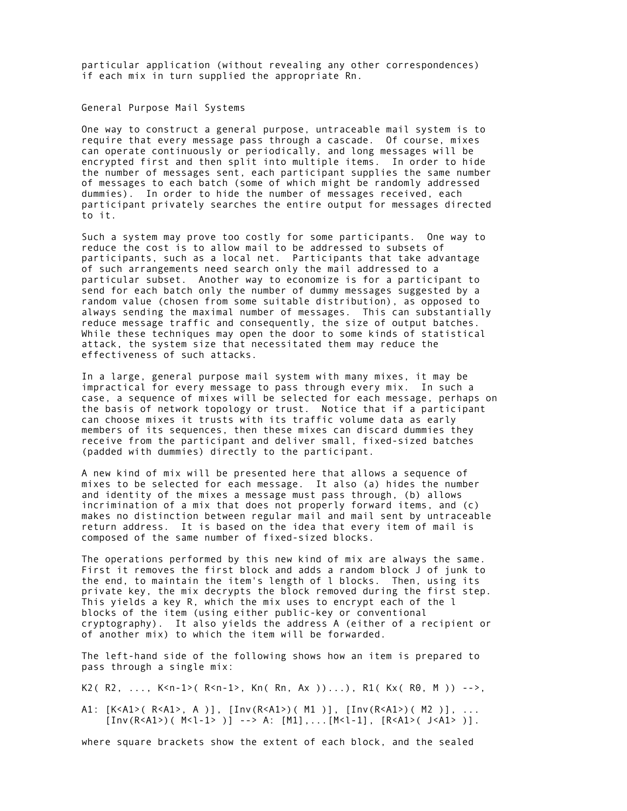particular application (without revealing any other correspondences) if each mix in turn supplied the appropriate Rn.

General Purpose Mail Systems

One way to construct a general purpose, untraceable mail system is to require that every message pass through a cascade. Of course, mixes can operate continuously or periodically, and long messages will be encrypted first and then split into multiple items. In order to hide the number of messages sent, each participant supplies the same number of messages to each batch (some of which might be randomly addressed dummies). In order to hide the number of messages received, each participant privately searches the entire output for messages directed to it.

Such a system may prove too costly for some participants. One way to reduce the cost is to allow mail to be addressed to subsets of participants, such as a local net. Participants that take advantage of such arrangements need search only the mail addressed to a particular subset. Another way to economize is for a participant to send for each batch only the number of dummy messages suggested by a random value (chosen from some suitable distribution), as opposed to always sending the maximal number of messages. This can substantially reduce message traffic and consequently, the size of output batches. While these techniques may open the door to some kinds of statistical attack, the system size that necessitated them may reduce the effectiveness of such attacks.

In a large, general purpose mail system with many mixes, it may be impractical for every message to pass through every mix. In such a case, a sequence of mixes will be selected for each message, perhaps on the basis of network topology or trust. Notice that if a participant can choose mixes it trusts with its traffic volume data as early members of its sequences, then these mixes can discard dummies they receive from the participant and deliver small, fixed-sized batches (padded with dummies) directly to the participant.

A new kind of mix will be presented here that allows a sequence of mixes to be selected for each message. It also (a) hides the number and identity of the mixes a message must pass through, (b) allows incrimination of a mix that does not properly forward items, and (c) makes no distinction between regular mail and mail sent by untraceable return address. It is based on the idea that every item of mail is composed of the same number of fixed-sized blocks.

The operations performed by this new kind of mix are always the same. First it removes the first block and adds a random block J of junk to the end, to maintain the item's length of l blocks. Then, using its private key, the mix decrypts the block removed during the first step. This yields a key R, which the mix uses to encrypt each of the l blocks of the item (using either public-key or conventional cryptography). It also yields the address A (either of a recipient or of another mix) to which the item will be forwarded.

The left-hand side of the following shows how an item is prepared to pass through a single mix:

K2( R2, ..., K<n-1>( R<n-1>, Kn( Rn, Ax ))...), R1( Kx( R0, M )) -->,

A1: [K<A1>( R<A1>, A )], [Inv(R<A1>)( M1 )], [Inv(R<A1>)( M2 )], ...  $[Inv(R < A1>) (M < l-1>) ] --> A: [M1], ... [M < l-1], [R < A1>(J < A1>) ]$ .

where square brackets show the extent of each block, and the sealed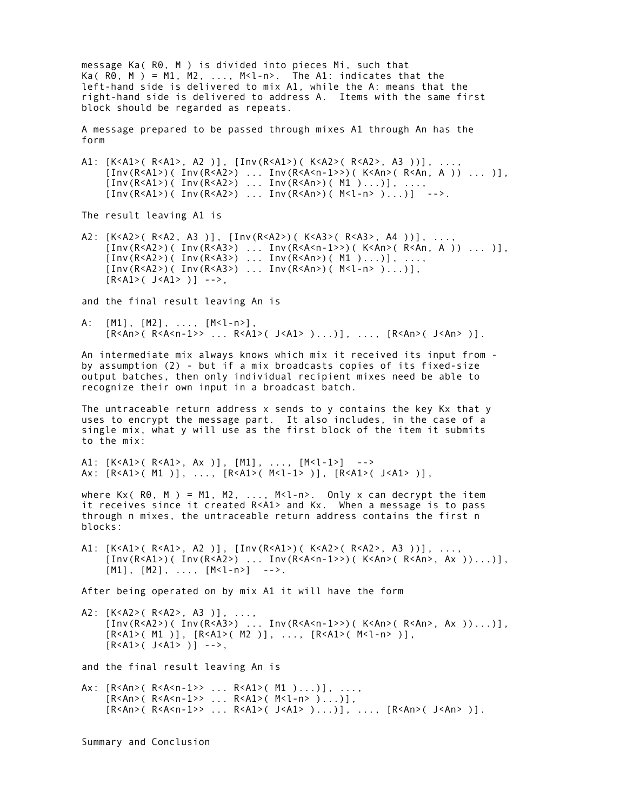message Ka( R0, M ) is divided into pieces Mi, such that Ka( $R0, M$ ) = M1, M2,  $\dots, M<1-n$ ). The A1: indicates that the left-hand side is delivered to mix A1, while the A: means that the right-hand side is delivered to address A. Items with the same first block should be regarded as repeats. A message prepared to be passed through mixes A1 through An has the form A1: [K<A1>( R<A1>, A2 )], [Inv(R<A1>)( K<A2>( R<A2>, A3 ))], ...,  $[Inv(R < A1>) (Inv(R < A2) ) ... Inv(R < A<sub>n</sub> - 1) ( K < An) ( R < An, A ) ) ... ]$  [Inv(R<A1>)( Inv(R<A2>) ... Inv(R<An>)( M1 )...)], ..., [Inv(R<A1>)( Inv(R<A2>) ... Inv(R<An>)( M<l-n> )...)] -->. The result leaving A1 is A2: [K<A2>( R<A2, A3 )], [Inv(R<A2>)( K<A3>( R<A3>, A4 ))], ..., [Inv(R<A2>)( Inv(R<A3>) ... Inv(R<A<n-1>>)( K<An>( R<An, A )) ... )], [Inv(R<A2>)( Inv(R<A3>) ... Inv(R<An>)( M1 )...)], ..., [Inv(R<A2>)( Inv(R<A3>) ... Inv(R<An>)( M<l-n> )...)],  $[R < A1 > ($   $J < A1 > )]$  -->, and the final result leaving An is A: [M1], [M2], ..., [M<l-n>], [R<An>( R<A<n-1>> ... R<A1>( J<A1> )...)], ..., [R<An>( J<An> )]. An intermediate mix always knows which mix it received its input from by assumption (2) - but if a mix broadcasts copies of its fixed-size output batches, then only individual recipient mixes need be able to recognize their own input in a broadcast batch. The untraceable return address x sends to y contains the key Kx that y uses to encrypt the message part. It also includes, in the case of a single mix, what y will use as the first block of the item it submits to the mix: A1: [K<A1>( R<A1>, Ax )], [M1], ..., [M<l-1>] --> Ax: [R<A1>( M1 )], ..., [R<A1>( M<l-1> )], [R<A1>( J<A1> )], where  $Kx( R0, M ) = M1, M2, \ldots, M<1-n$ . Only x can decrypt the item it receives since it created R<A1> and Kx. When a message is to pass through n mixes, the untraceable return address contains the first n blocks: A1: [K<A1>( R<A1>, A2 )], [Inv(R<A1>)( K<A2>( R<A2>, A3 ))], ...,  $[Inv(R < A1>)$  ( $Inv(R < A2)$ ) ... Inv( $R < A < n-1$ ) ( $K < A n$ ) ( $R < A n$ ),  $Ax$ ))...)],  $[M1]$ ,  $[M2]$ , ...,  $[M<1-n>$ ] -->. After being operated on by mix A1 it will have the form A2: [K<A2>( R<A2>, A3 )], ...,  $[Inv(R < A2>)$  ( $Inv(R < A3>)$ )... $Inv(R < A1)$ ) ( $K < An > (R < A1)$ ), ...], [R<A1>( M1 )], [R<A1>( M2 )], ..., [R<A1>( M<l-n> )],  $[R<sub>1</sub>( J<sub>1</sub>( A1> ) ] - -$ , and the final result leaving An is Ax: [R<An>( R<A<n-1>> ... R<A1>( M1 )...)], ..., [R<An>(R<A<n-1>> ... R<A1>(M<l-n>)...)], [R<An>( R<A<n-1>> ... R<A1>( J<A1> )...)], ..., [R<An>( J<An> )].

Summary and Conclusion